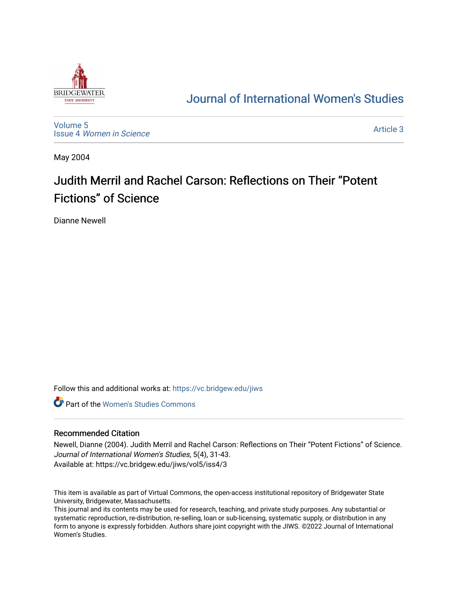

## [Journal of International Women's Studies](https://vc.bridgew.edu/jiws)

[Volume 5](https://vc.bridgew.edu/jiws/vol5) Issue 4 [Women in Science](https://vc.bridgew.edu/jiws/vol5/iss4) 

[Article 3](https://vc.bridgew.edu/jiws/vol5/iss4/3) 

May 2004

# Judith Merril and Rachel Carson: Reflections on Their "Potent Fictions" of Science

Dianne Newell

Follow this and additional works at: [https://vc.bridgew.edu/jiws](https://vc.bridgew.edu/jiws?utm_source=vc.bridgew.edu%2Fjiws%2Fvol5%2Fiss4%2F3&utm_medium=PDF&utm_campaign=PDFCoverPages)

**C** Part of the Women's Studies Commons

#### Recommended Citation

Newell, Dianne (2004). Judith Merril and Rachel Carson: Reflections on Their "Potent Fictions" of Science. Journal of International Women's Studies, 5(4), 31-43. Available at: https://vc.bridgew.edu/jiws/vol5/iss4/3

This item is available as part of Virtual Commons, the open-access institutional repository of Bridgewater State University, Bridgewater, Massachusetts.

This journal and its contents may be used for research, teaching, and private study purposes. Any substantial or systematic reproduction, re-distribution, re-selling, loan or sub-licensing, systematic supply, or distribution in any form to anyone is expressly forbidden. Authors share joint copyright with the JIWS. ©2022 Journal of International Women's Studies.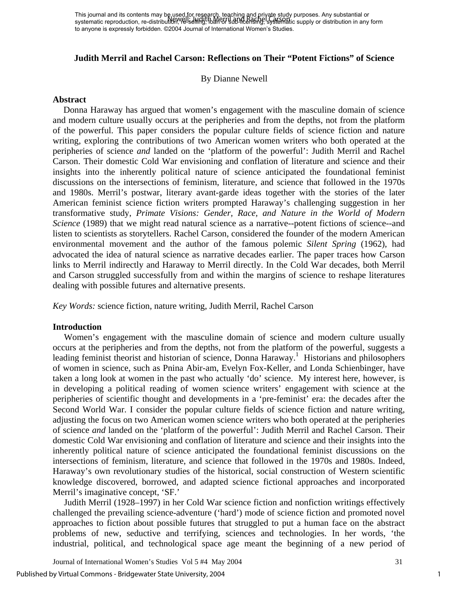This journal and its contents may be used for research, teaching and private study purposes. Any substantial or This journal and Re-concrite may be reported in resulting the process and proposes. Any substantial or substantial or<br>systematic reproduction, re-distribution, relisting, bandly found in any form in any form in any form to anyone is expressly forbidden. ©2004 Journal of International Women's Studies.

### **Judith Merril and Rachel Carson: Reflections on Their "Potent Fictions" of Science**

#### By Dianne Newell

#### **Abstract**

Donna Haraway has argued that women's engagement with the masculine domain of science and modern culture usually occurs at the peripheries and from the depths, not from the platform of the powerful. This paper considers the popular culture fields of science fiction and nature writing, exploring the contributions of two American women writers who both operated at the peripheries of science *and* landed on the 'platform of the powerful': Judith Merril and Rachel Carson. Their domestic Cold War envisioning and conflation of literature and science and their insights into the inherently political nature of science anticipated the foundational feminist discussions on the intersections of feminism, literature, and science that followed in the 1970s and 1980s. Merril's postwar, literary avant-garde ideas together with the stories of the later American feminist science fiction writers prompted Haraway's challenging suggestion in her transformative study, *Primate Visions: Gender, Race, and Nature in the World of Modern Science* (1989) that we might read natural science as a narrative--potent fictions of science--and listen to scientists as storytellers. Rachel Carson, considered the founder of the modern American environmental movement and the author of the famous polemic *Silent Spring* (1962), had advocated the idea of natural science as narrative decades earlier. The paper traces how Carson links to Merril indirectly and Haraway to Merril directly. In the Cold War decades, both Merril and Carson struggled successfully from and within the margins of science to reshape literatures dealing with possible futures and alternative presents.

*Key Words:* science fiction, nature writing, Judith Merril, Rachel Carson

#### **Introduction**

 Women's engagement with the masculine domain of science and modern culture usually occurs at the peripheries and from the depths, not from the platform of the powerful, suggests a leading feminist theorist and historian of science, Donna Haraway.<sup>1</sup> Historians and philosophers of women in science, such as Pnina Abir-am, Evelyn Fox-Keller, and Londa Schienbinger, have taken a long look at women in the past who actually 'do' science. My interest here, however, is in developing a political reading of women science writers' engagement with science at the peripheries of scientific thought and developments in a 'pre-feminist' era: the decades after the Second World War. I consider the popular culture fields of science fiction and nature writing, adjusting the focus on two American women science writers who both operated at the peripheries of science *and* landed on the 'platform of the powerful': Judith Merril and Rachel Carson. Their domestic Cold War envisioning and conflation of literature and science and their insights into the inherently political nature of science anticipated the foundational feminist discussions on the intersections of feminism, literature, and science that followed in the 1970s and 1980s. Indeed, Haraway's own revolutionary studies of the historical, social construction of Western scientific knowledge discovered, borrowed, and adapted science fictional approaches and incorporated Merril's imaginative concept, 'SF.'

 Judith Merril (1928–1997) in her Cold War science fiction and nonfiction writings effectively challenged the prevailing science-adventure ('hard') mode of science fiction and promoted novel approaches to fiction about possible futures that struggled to put a human face on the abstract problems of new, seductive and terrifying, sciences and technologies. In her words, 'the industrial, political, and technological space age meant the beginning of a new period of

Journal of International Women's Studies Vol 5 #4 May 2004 31

1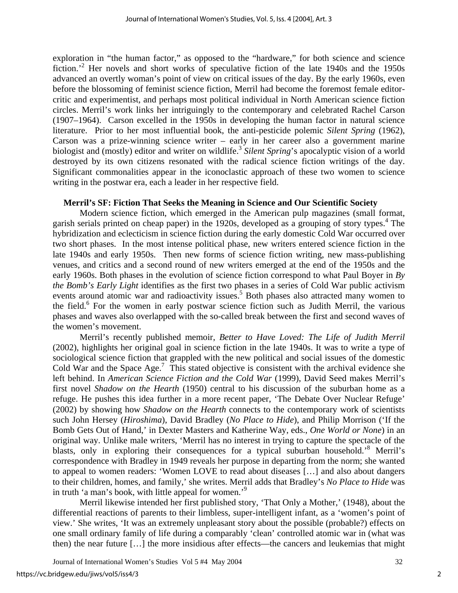exploration in "the human factor," as opposed to the "hardware," for both science and science fiction.<sup>[2](#page-13-1)</sup> Her novels and short works of speculative fiction of the late 1940s and the 1950s advanced an overtly woman's point of view on critical issues of the day. By the early 1960s, even before the blossoming of feminist science fiction, Merril had become the foremost female editorcritic and experimentist, and perhaps most political individual in North American science fiction circles. Merril's work links her intriguingly to the contemporary and celebrated Rachel Carson (1907–1964). Carson excelled in the 1950s in developing the human factor in natural science literature. Prior to her most influential book, the anti-pesticide polemic *Silent Spring* (1962), Carson was a prize-winning science writer – early in her career also a government marine biologist and (mostly) editor and writer on wildlife.<sup>[3](#page-13-2)</sup> Silent Spring's apocalyptic vision of a world destroyed by its own citizens resonated with the radical science fiction writings of the day. Significant commonalities appear in the iconoclastic approach of these two women to science writing in the postwar era, each a leader in her respective field.

## **Merril's SF: Fiction That Seeks the Meaning in Science and Our Scientific Society**

Modern science fiction, which emerged in the American pulp magazines (small format, garish serials printed on cheap paper) in the  $1920s$ , developed as a grouping of story types.<sup>4</sup> The hybridization and eclecticism in science fiction during the early domestic Cold War occurred over two short phases. In the most intense political phase, new writers entered science fiction in the late 1940s and early 1950s. Then new forms of science fiction writing, new mass-publishing venues, and critics and a second round of new writers emerged at the end of the 1950s and the early 1960s. Both phases in the evolution of science fiction correspond to what Paul Boyer in *By the Bomb's Early Light* identifies as the first two phases in a series of Cold War public activism events around atomic war and radioactivity issues.<sup>5</sup> Both phases also attracted many women to the field.<sup>[6](#page-13-5)</sup> For the women in early postwar science fiction such as Judith Merril, the various phases and waves also overlapped with the so-called break between the first and second waves of the women's movement.

Merril's recently published memoir, *Better to Have Loved: The Life of Judith Merril* (2002), highlights her original goal in science fiction in the late 1940s. It was to write a type of sociological science fiction that grappled with the new political and social issues of the domestic Cold War and the Space Age.<sup>[7](#page-13-6)</sup> This stated objective is consistent with the archival evidence she left behind. In *American Science Fiction and the Cold War* (1999), David Seed makes Merril's first novel *Shadow on the Hearth* (1950) central to his discussion of the suburban home as a refuge. He pushes this idea further in a more recent paper, 'The Debate Over Nuclear Refuge' (2002) by showing how *Shadow on the Hearth* connects to the contemporary work of scientists such John Hersey (*Hiroshima*), David Bradley (*No Place to Hide*), and Philip Morrison ('If the Bomb Gets Out of Hand,' in Dexter Masters and Katherine Way, eds., *One World or None*) in an original way. Unlike male writers, 'Merril has no interest in trying to capture the spectacle of the blasts, only in exploring their consequences for a typical suburban household.'[8](#page-13-7) Merril's correspondence with Bradley in 1949 reveals her purpose in departing from the norm; she wanted to appeal to women readers: 'Women LOVE to read about diseases […] and also about dangers to their children, homes, and family,' she writes. Merril adds that Bradley's *No Place to Hide* was in truth 'a man's book, with little appeal for women.'<sup>[9](#page-13-8)</sup>

Merril likewise intended her first published story, 'That Only a Mother,' (1948), about the differential reactions of parents to their limbless, super-intelligent infant, as a 'women's point of view.' She writes, 'It was an extremely unpleasant story about the possible (probable?) effects on one small ordinary family of life during a comparably 'clean' controlled atomic war in (what was then) the near future […] the more insidious after effects—the cancers and leukemias that might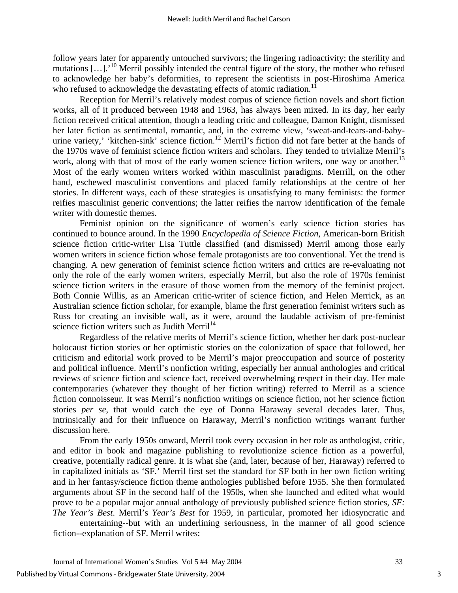follow years later for apparently untouched survivors; the lingering radioactivity; the sterility and mutations [...].<sup>10</sup> Merril possibly intended the central figure of the story, the mother who refused to acknowledge her baby's deformities, to represent the scientists in post-Hiroshima America who refused to acknowledge the devastating effects of atomic radiation.<sup>1</sup>

Reception for Merril's relatively modest corpus of science fiction novels and short fiction works, all of it produced between 1948 and 1963, has always been mixed. In its day, her early fiction received critical attention, though a leading critic and colleague, Damon Knight, dismissed her later fiction as sentimental, romantic, and, in the extreme view, 'sweat-and-tears-and-babyurine variety,' 'kitchen-sink' science fiction.<sup>12</sup> Merril's fiction did not fare better at the hands of the 1970s wave of feminist science fiction writers and scholars. They tended to trivialize Merril's work, along with that of most of the early women science fiction writers, one way or another.<sup>13</sup> Most of the early women writers worked within masculinist paradigms. Merrill, on the other hand, eschewed masculinist conventions and placed family relationships at the centre of her stories. In different ways, each of these strategies is unsatisfying to many feminists: the former reifies masculinist generic conventions; the latter reifies the narrow identification of the female writer with domestic themes.

Feminist opinion on the significance of women's early science fiction stories has continued to bounce around. In the 1990 *Encyclopedia of Science Fiction*, American-born British science fiction critic-writer Lisa Tuttle classified (and dismissed) Merril among those early women writers in science fiction whose female protagonists are too conventional. Yet the trend is changing. A new generation of feminist science fiction writers and critics are re-evaluating not only the role of the early women writers, especially Merril, but also the role of 1970s feminist science fiction writers in the erasure of those women from the memory of the feminist project. Both Connie Willis, as an American critic-writer of science fiction, and Helen Merrick, as an Australian science fiction scholar, for example, blame the first generation feminist writers such as Russ for creating an invisible wall, as it were, around the laudable activism of pre-feminist science fiction writers such as Judith Merril<sup>14</sup>

Regardless of the relative merits of Merril's science fiction, whether her dark post-nuclear holocaust fiction stories or her optimistic stories on the colonization of space that followed, her criticism and editorial work proved to be Merril's major preoccupation and source of posterity and political influence. Merril's nonfiction writing, especially her annual anthologies and critical reviews of science fiction and science fact, received overwhelming respect in their day. Her male contemporaries (whatever they thought of her fiction writing) referred to Merril as a science fiction connoisseur. It was Merril's nonfiction writings on science fiction, not her science fiction stories *per se*, that would catch the eye of Donna Haraway several decades later. Thus, intrinsically and for their influence on Haraway, Merril's nonfiction writings warrant further discussion here.

From the early 1950s onward, Merril took every occasion in her role as anthologist, critic, and editor in book and magazine publishing to revolutionize science fiction as a powerful, creative, potentially radical genre. It is what she (and, later, because of her, Haraway) referred to in capitalized initials as 'SF.' Merril first set the standard for SF both in her own fiction writing and in her fantasy/science fiction theme anthologies published before 1955. She then formulated arguments about SF in the second half of the 1950s, when she launched and edited what would prove to be a popular major annual anthology of previously published science fiction stories, *SF: The Year's Best*. Merril's *Year's Best* for 1959, in particular, promoted her idiosyncratic and

entertaining--but with an underlining seriousness, in the manner of all good science fiction--explanation of SF. Merril writes: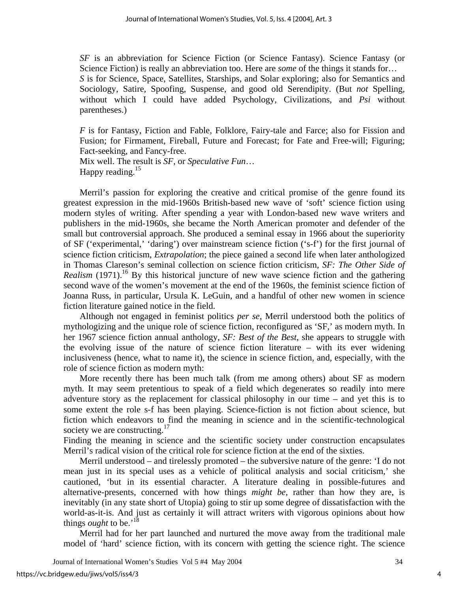*SF* is an abbreviation for Science Fiction (or Science Fantasy). Science Fantasy (or Science Fiction) is really an abbreviation too. Here are *some* of the things it stands for… *S* is for Science, Space, Satellites, Starships, and Solar exploring; also for Semantics and Sociology, Satire, Spoofing, Suspense, and good old Serendipity. (But *not* Spelling, without which I could have added Psychology, Civilizations, and *Psi* without parentheses.)

*F* is for Fantasy, Fiction and Fable, Folklore, Fairy-tale and Farce; also for Fission and Fusion; for Firmament, Fireball, Future and Forecast; for Fate and Free-will; Figuring; Fact-seeking, and Fancy-free.

Mix well. The result is *SF*, or *Speculative Fun*… Happy reading. $15$ 

Merril's passion for exploring the creative and critical promise of the genre found its greatest expression in the mid-1960s British-based new wave of 'soft' science fiction using modern styles of writing. After spending a year with London-based new wave writers and publishers in the mid-1960s, she became the North American promoter and defender of the small but controversial approach. She produced a seminal essay in 1966 about the superiority of SF ('experimental,' 'daring') over mainstream science fiction ('s-f') for the first journal of science fiction criticism, *Extrapolation*; the piece gained a second life when later anthologized in Thomas Clareson's seminal collection on science fiction criticism, *SF: The Other Side of Realism* (1971).<sup>16</sup> By this historical juncture of new wave science fiction and the gathering second wave of the women's movement at the end of the 1960s, the feminist science fiction of Joanna Russ, in particular, Ursula K. LeGuin, and a handful of other new women in science fiction literature gained notice in the field.

Although not engaged in feminist politics *per se*, Merril understood both the politics of mythologizing and the unique role of science fiction, reconfigured as 'SF,' as modern myth. In her 1967 science fiction annual anthology, *SF: Best of the Best*, she appears to struggle with the evolving issue of the nature of science fiction literature – with its ever widening inclusiveness (hence, what to name it), the science in science fiction, and, especially, with the role of science fiction as modern myth:

More recently there has been much talk (from me among others) about SF as modern myth. It may seem pretentious to speak of a field which degenerates so readily into mere adventure story as the replacement for classical philosophy in our time – and yet this is to some extent the role s-f has been playing. Science-fiction is not fiction about science, but fiction which endeavors to find the meaning in science and in the scientific-technological society we are constructing.<sup>17</sup>

Finding the meaning in science and the scientific society under construction encapsulates Merril's radical vision of the critical role for science fiction at the end of the sixties.

Merril understood – and tirelessly promoted – the subversive nature of the genre: 'I do not mean just in its special uses as a vehicle of political analysis and social criticism,' she cautioned, 'but in its essential character. A literature dealing in possible-futures and alternative-presents, concerned with how things *might be*, rather than how they are, is inevitably (in any state short of Utopia) going to stir up some degree of dissatisfaction with the world-as-it-is. And just as certainly it will attract writers with vigorous opinions about how things *ought* to be.<sup>'18</sup>

Merril had for her part launched and nurtured the move away from the traditional male model of 'hard' science fiction, with its concern with getting the science right. The science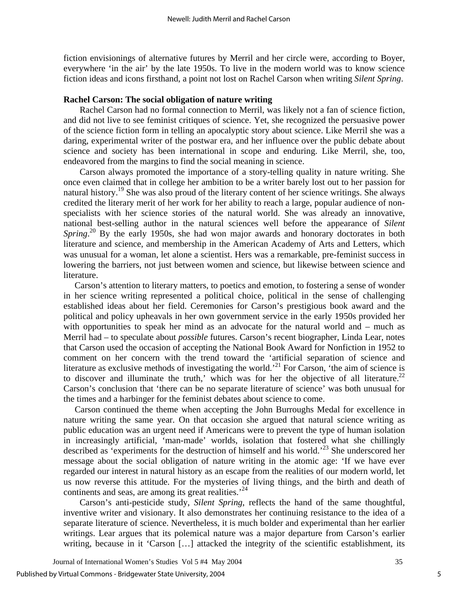fiction envisionings of alternative futures by Merril and her circle were, according to Boyer, everywhere 'in the air' by the late 1950s. To live in the modern world was to know science fiction ideas and icons firsthand, a point not lost on Rachel Carson when writing *Silent Spring*.

#### **Rachel Carson: The social obligation of nature writing**

Rachel Carson had no formal connection to Merril, was likely not a fan of science fiction, and did not live to see feminist critiques of science. Yet, she recognized the persuasive power of the science fiction form in telling an apocalyptic story about science. Like Merril she was a daring, experimental writer of the postwar era, and her influence over the public debate about science and society has been international in scope and enduring. Like Merril, she, too, endeavored from the margins to find the social meaning in science.

Carson always promoted the importance of a story-telling quality in nature writing. She once even claimed that in college her ambition to be a writer barely lost out to her passion for natural history.<sup>19</sup> She was also proud of the literary content of her science writings. She always credited the literary merit of her work for her ability to reach a large, popular audience of nonspecialists with her science stories of the natural world. She was already an innovative, national best-selling author in the natural sciences well before the appearance of *Silent*  Spring.<sup>20</sup> By the early 1950s, she had won major awards and honorary doctorates in both literature and science, and membership in the American Academy of Arts and Letters, which was unusual for a woman, let alone a scientist. Hers was a remarkable, pre-feminist success in lowering the barriers, not just between women and science, but likewise between science and literature.

 Carson's attention to literary matters, to poetics and emotion, to fostering a sense of wonder in her science writing represented a political choice, political in the sense of challenging established ideas about her field. Ceremonies for Carson's prestigious book award and the political and policy upheavals in her own government service in the early 1950s provided her with opportunities to speak her mind as an advocate for the natural world and – much as Merril had – to speculate about *possible* futures. Carson's recent biographer, Linda Lear, notes that Carson used the occasion of accepting the National Book Award for Nonfiction in 1952 to comment on her concern with the trend toward the 'artificial separation of science and literature as exclusive methods of investigating the world.<sup>21</sup> For Carson, 'the aim of science is to discover and illuminate the truth,' which was for her the objective of all literature.<sup>22</sup> Carson's conclusion that 'there can be no separate literature of science' was both unusual for the times and a harbinger for the feminist debates about science to come.

 Carson continued the theme when accepting the John Burroughs Medal for excellence in nature writing the same year. On that occasion she argued that natural science writing as public education was an urgent need if Americans were to prevent the type of human isolation in increasingly artificial, 'man-made' worlds, isolation that fostered what she chillingly described as 'experiments for the destruction of himself and his world.<sup>23</sup> She underscored her message about the social obligation of nature writing in the atomic age: 'If we have ever regarded our interest in natural history as an escape from the realities of our modern world, let us now reverse this attitude. For the mysteries of living things, and the birth and death of continents and seas, are among its great realities.<sup>24</sup>

Carson's anti-pesticide study, *Silent Spring*, reflects the hand of the same thoughtful, inventive writer and visionary. It also demonstrates her continuing resistance to the idea of a separate literature of science. Nevertheless, it is much bolder and experimental than her earlier writings. Lear argues that its polemical nature was a major departure from Carson's earlier writing, because in it 'Carson [...] attacked the integrity of the scientific establishment, its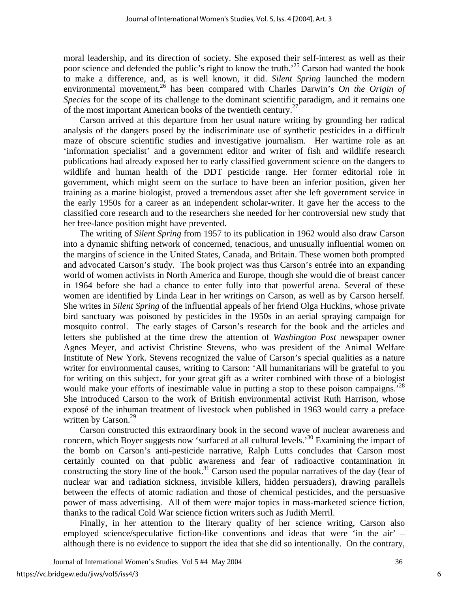moral leadership, and its direction of society. She exposed their self-interest as well as their poor science and defended the public's right to know the truth.<sup>25</sup> Carson had wanted the book to make a difference, and, as is well known, it did. *Silent Spring* launched the modern environmental movement,<sup>26</sup> has been compared with Charles Darwin's *On the Origin of Species* for the scope of its challenge to the dominant scientific paradigm, and it remains one of the most important American books of the twentieth century.<sup>[27](#page-13-26)</sup>

Carson arrived at this departure from her usual nature writing by grounding her radical analysis of the dangers posed by the indiscriminate use of synthetic pesticides in a difficult maze of obscure scientific studies and investigative journalism. Her wartime role as an 'information specialist' and a government editor and writer of fish and wildlife research publications had already exposed her to early classified government science on the dangers to wildlife and human health of the DDT pesticide range. Her former editorial role in government, which might seem on the surface to have been an inferior position, given her training as a marine biologist, proved a tremendous asset after she left government service in the early 1950s for a career as an independent scholar-writer. It gave her the access to the classified core research and to the researchers she needed for her controversial new study that her free-lance position might have prevented.

The writing of *Silent Spring* from 1957 to its publication in 1962 would also draw Carson into a dynamic shifting network of concerned, tenacious, and unusually influential women on the margins of science in the United States, Canada, and Britain. These women both prompted and advocated Carson's study. The book project was thus Carson's entrée into an expanding world of women activists in North America and Europe, though she would die of breast cancer in 1964 before she had a chance to enter fully into that powerful arena. Several of these women are identified by Linda Lear in her writings on Carson, as well as by Carson herself. She writes in *Silent Spring* of the influential appeals of her friend Olga Huckins, whose private bird sanctuary was poisoned by pesticides in the 1950s in an aerial spraying campaign for mosquito control. The early stages of Carson's research for the book and the articles and letters she published at the time drew the attention of *Washington Post* newspaper owner Agnes Meyer, and activist Christine Stevens, who was president of the Animal Welfare Institute of New York. Stevens recognized the value of Carson's special qualities as a nature writer for environmental causes, writing to Carson: 'All humanitarians will be grateful to you for writing on this subject, for your great gift as a writer combined with those of a biologist would make your efforts of inestimable value in putting a stop to these poison campaigns.<sup>28</sup> She introduced Carson to the work of British environmental activist Ruth Harrison, whose exposé of the inhuman treatment of livestock when published in 1963 would carry a preface written by Carson. $^{29}$ 

Carson constructed this extraordinary book in the second wave of nuclear awareness and concern, which Boyer suggests now 'surfaced at all cultural levels.['30](#page-13-29) Examining the impact of the bomb on Carson's anti-pesticide narrative, Ralph Lutts concludes that Carson most certainly counted on that public awareness and fear of radioactive contamination in constructing the story line of the book.<sup>31</sup> Carson used the popular narratives of the day (fear of nuclear war and radiation sickness, invisible killers, hidden persuaders), drawing parallels between the effects of atomic radiation and those of chemical pesticides, and the persuasive power of mass advertising. All of them were major topics in mass-marketed science fiction, thanks to the radical Cold War science fiction writers such as Judith Merril.

Finally, in her attention to the literary quality of her science writing, Carson also employed science/speculative fiction-like conventions and ideas that were 'in the air' – although there is no evidence to support the idea that she did so intentionally. On the contrary,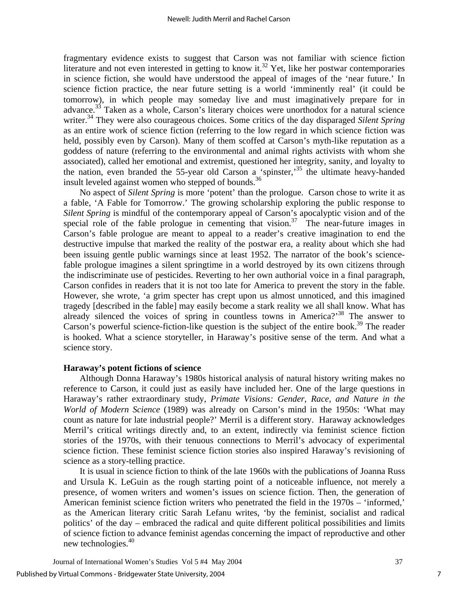fragmentary evidence exists to suggest that Carson was not familiar with science fiction literature and not even interested in getting to know it.<sup>32</sup> Yet, like her postwar contemporaries in science fiction, she would have understood the appeal of images of the 'near future.' In science fiction practice, the near future setting is a world 'imminently real' (it could be tomorrow), in which people may someday live and must imaginatively prepare for in advance.<sup>33</sup> Taken as a whole, Carson's literary choices were unorthodox for a natural science writer.<sup>34</sup> They were also courageous choices. Some critics of the day disparaged *Silent Spring* as an entire work of science fiction (referring to the low regard in which science fiction was held, possibly even by Carson). Many of them scoffed at Carson's myth-like reputation as a goddess of nature (referring to the environmental and animal rights activists with whom she associated), called her emotional and extremist, questioned her integrity, sanity, and loyalty to the nation, even branded the 55-year old Carson a 'spinster,['35](#page-13-34) the ultimate heavy-handed insult leveled against women who stepped of bounds.<sup>36</sup>

No aspect of *Silent Spring* is more 'potent' than the prologue. Carson chose to write it as a fable, 'A Fable for Tomorrow.' The growing scholarship exploring the public response to *Silent Spring* is mindful of the contemporary appeal of Carson's apocalyptic vision and of the special role of the fable prologue in cementing that vision.<sup>37</sup> The near-future images in Carson's fable prologue are meant to appeal to a reader's creative imagination to end the destructive impulse that marked the reality of the postwar era, a reality about which she had been issuing gentle public warnings since at least 1952. The narrator of the book's sciencefable prologue imagines a silent springtime in a world destroyed by its own citizens through the indiscriminate use of pesticides. Reverting to her own authorial voice in a final paragraph, Carson confides in readers that it is not too late for America to prevent the story in the fable. However, she wrote, 'a grim specter has crept upon us almost unnoticed, and this imagined tragedy [described in the fable] may easily become a stark reality we all shall know. What has already silenced the voices of spring in countless towns in America?<sup>38</sup> The answer to Carson's powerful science-fiction-like question is the subject of the entire book.<sup>39</sup> The reader is hooked. What a science storyteller, in Haraway's positive sense of the term. And what a science story.

#### **Haraway's potent fictions of science**

Although Donna Haraway's 1980s historical analysis of natural history writing makes no reference to Carson, it could just as easily have included her. One of the large questions in Haraway's rather extraordinary study, *Primate Visions: Gender, Race, and Nature in the World of Modern Science* (1989) was already on Carson's mind in the 1950s: 'What may count as nature for late industrial people?' Merril is a different story. Haraway acknowledges Merril's critical writings directly and, to an extent, indirectly via feminist science fiction stories of the 1970s, with their tenuous connections to Merril's advocacy of experimental science fiction. These feminist science fiction stories also inspired Haraway's revisioning of science as a story-telling practice.

It is usual in science fiction to think of the late 1960s with the publications of Joanna Russ and Ursula K. LeGuin as the rough starting point of a noticeable influence, not merely a presence, of women writers and women's issues on science fiction. Then, the generation of American feminist science fiction writers who penetrated the field in the 1970s – 'informed,' as the American literary critic Sarah Lefanu writes, 'by the feminist, socialist and radical politics' of the day – embraced the radical and quite different political possibilities and limits of science fiction to advance feminist agendas concerning the impact of reproductive and other new technologies.<sup>40</sup>

7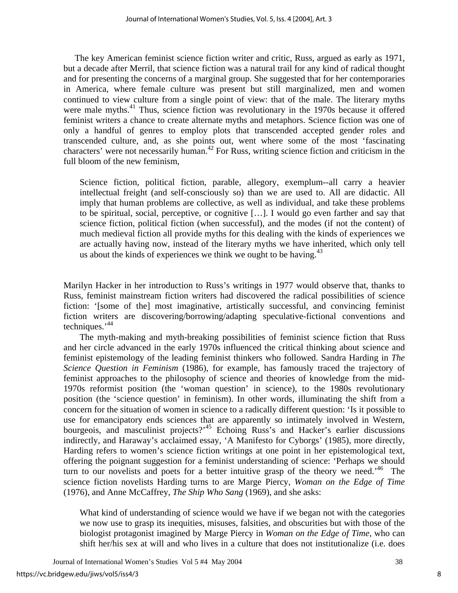The key American feminist science fiction writer and critic, Russ, argued as early as 1971, but a decade after Merril, that science fiction was a natural trail for any kind of radical thought and for presenting the concerns of a marginal group. She suggested that for her contemporaries in America, where female culture was present but still marginalized, men and women continued to view culture from a single point of view: that of the male. The literary myths were male myths.<sup>41</sup> Thus, science fiction was revolutionary in the 1970s because it offered feminist writers a chance to create alternate myths and metaphors. Science fiction was one of only a handful of genres to employ plots that transcended accepted gender roles and transcended culture, and, as she points out, went where some of the most 'fascinating characters' were not necessarily human.[42 F](#page-13-41)or Russ, writing science fiction and criticism in the full bloom of the new feminism,

Science fiction, political fiction, parable, allegory, exemplum--all carry a heavier intellectual freight (and self-consciously so) than we are used to. All are didactic. All imply that human problems are collective, as well as individual, and take these problems to be spiritual, social, perceptive, or cognitive […]. I would go even farther and say that science fiction, political fiction (when successful), and the modes (if not the content) of much medieval fiction all provide myths for this dealing with the kinds of experiences we are actually having now, instead of the literary myths we have inherited, which only tell us about the kinds of experiences we think we ought to be having. $43$ 

Marilyn Hacker in her introduction to Russ's writings in 1977 would observe that, thanks to Russ, feminist mainstream fiction writers had discovered the radical possibilities of science fiction: '[some of the] most imaginative, artistically successful, and convincing feminist fiction writers are discovering/borrowing/adapting speculative-fictional conventions and techniques.['44](#page-13-43)

The myth-making and myth-breaking possibilities of feminist science fiction that Russ and her circle advanced in the early 1970s influenced the critical thinking about science and feminist epistemology of the leading feminist thinkers who followed. Sandra Harding in *The Science Question in Feminism* (1986), for example, has famously traced the trajectory of feminist approaches to the philosophy of science and theories of knowledge from the mid-1970s reformist position (the 'woman question' in science), to the 1980s revolutionary position (the 'science question' in feminism). In other words, illuminating the shift from a concern for the situation of women in science to a radically different question: 'Is it possible to use for emancipatory ends sciences that are apparently so intimately involved in Western, bourgeois, and masculinist projects?<sup>45</sup> Echoing Russ's and Hacker's earlier discussions indirectly, and Haraway's acclaimed essay, 'A Manifesto for Cyborgs' (1985), more directly, Harding refers to women's science fiction writings at one point in her epistemological text, offering the poignant suggestion for a feminist understanding of science: 'Perhaps we should turn to our novelists and poets for a better intuitive grasp of the theory we need.<sup> $46$ </sup> The science fiction novelists Harding turns to are Marge Piercy, *Woman on the Edge of Time* (1976), and Anne McCaffrey, *The Ship Who Sang* (1969), and she asks:

What kind of understanding of science would we have if we began not with the categories we now use to grasp its inequities, misuses, falsities, and obscurities but with those of the biologist protagonist imagined by Marge Piercy in *Woman on the Edge of Time*, who can shift her/his sex at will and who lives in a culture that does not institutionalize (i.e. does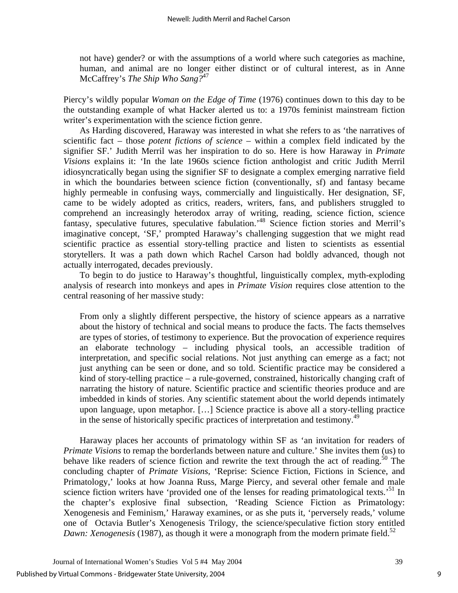not have) gender? or with the assumptions of a world where such categories as machine, human, and animal are no longer either distinct or of cultural interest, as in Anne McCaffrey's *The Ship Who Sang?*[47](#page-13-46) 

Piercy's wildly popular *Woman on the Edge of Time* (1976) continues down to this day to be the outstanding example of what Hacker alerted us to: a 1970s feminist mainstream fiction writer's experimentation with the science fiction genre.

As Harding discovered, Haraway was interested in what she refers to as 'the narratives of scientific fact – those *potent fictions of science* – within a complex field indicated by the signifier SF.' Judith Merril was her inspiration to do so. Here is how Haraway in *Primate Visions* explains it: 'In the late 1960s science fiction anthologist and critic Judith Merril idiosyncratically began using the signifier SF to designate a complex emerging narrative field in which the boundaries between science fiction (conventionally, sf) and fantasy became highly permeable in confusing ways, commercially and linguistically. Her designation, SF, came to be widely adopted as critics, readers, writers, fans, and publishers struggled to comprehend an increasingly heterodox array of writing, reading, science fiction, science fantasy, speculative futures, speculative fabulation.'[48](#page-13-47) Science fiction stories and Merril's imaginative concept, 'SF,' prompted Haraway's challenging suggestion that we might read scientific practice as essential story-telling practice and listen to scientists as essential storytellers. It was a path down which Rachel Carson had boldly advanced, though not actually interrogated, decades previously.

To begin to do justice to Haraway's thoughtful, linguistically complex, myth-exploding analysis of research into monkeys and apes in *Primate Vision* requires close attention to the central reasoning of her massive study:

From only a slightly different perspective, the history of science appears as a narrative about the history of technical and social means to produce the facts. The facts themselves are types of stories, of testimony to experience. But the provocation of experience requires an elaborate technology – including physical tools, an accessible tradition of interpretation, and specific social relations. Not just anything can emerge as a fact; not just anything can be seen or done, and so told. Scientific practice may be considered a kind of story-telling practice – a rule-governed, constrained, historically changing craft of narrating the history of nature. Scientific practice and scientific theories produce and are imbedded in kinds of stories. Any scientific statement about the world depends intimately upon language, upon metaphor. […] Science practice is above all a story-telling practice in the sense of historically specific practices of interpretation and testimony.<sup>49</sup>

Haraway places her accounts of primatology within SF as 'an invitation for readers of *Primate Visions* to remap the borderlands between nature and culture.' She invites them (us) to behave like readers of science fiction and rewrite the text through the act of reading.<sup>50</sup> The concluding chapter of *Primate Visions*, 'Reprise: Science Fiction, Fictions in Science, and Primatology,' looks at how Joanna Russ, Marge Piercy, and several other female and male science fiction writers have 'provided one of the lenses for reading primatological texts.<sup>51</sup> In the chapter's explosive final subsection, 'Reading Science Fiction as Primatology: Xenogenesis and Feminism,' Haraway examines, or as she puts it, 'perversely reads,' volume one of Octavia Butler's Xenogenesis Trilogy, the science/speculative fiction story entitled *Dawn: Xenogenesis* (1987), as though it were a monograph from the modern primate field.<sup>52</sup>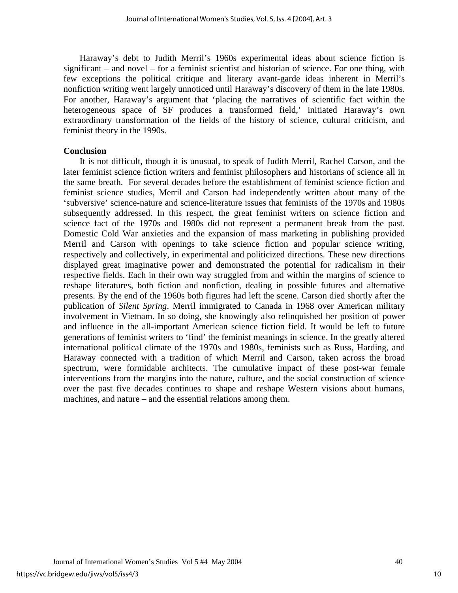Haraway's debt to Judith Merril's 1960s experimental ideas about science fiction is significant – and novel – for a feminist scientist and historian of science. For one thing, with few exceptions the political critique and literary avant-garde ideas inherent in Merril's nonfiction writing went largely unnoticed until Haraway's discovery of them in the late 1980s. For another, Haraway's argument that 'placing the narratives of scientific fact within the heterogeneous space of SF produces a transformed field,' initiated Haraway's own extraordinary transformation of the fields of the history of science, cultural criticism, and feminist theory in the 1990s.

#### **Conclusion**

It is not difficult, though it is unusual, to speak of Judith Merril, Rachel Carson, and the later feminist science fiction writers and feminist philosophers and historians of science all in the same breath. For several decades before the establishment of feminist science fiction and feminist science studies, Merril and Carson had independently written about many of the 'subversive' science-nature and science-literature issues that feminists of the 1970s and 1980s subsequently addressed. In this respect, the great feminist writers on science fiction and science fact of the 1970s and 1980s did not represent a permanent break from the past. Domestic Cold War anxieties and the expansion of mass marketing in publishing provided Merril and Carson with openings to take science fiction and popular science writing, respectively and collectively, in experimental and politicized directions. These new directions displayed great imaginative power and demonstrated the potential for radicalism in their respective fields. Each in their own way struggled from and within the margins of science to reshape literatures, both fiction and nonfiction, dealing in possible futures and alternative presents. By the end of the 1960s both figures had left the scene. Carson died shortly after the publication of *Silent Spring*. Merril immigrated to Canada in 1968 over American military involvement in Vietnam. In so doing, she knowingly also relinquished her position of power and influence in the all-important American science fiction field. It would be left to future generations of feminist writers to 'find' the feminist meanings in science. In the greatly altered international political climate of the 1970s and 1980s, feminists such as Russ, Harding, and Haraway connected with a tradition of which Merril and Carson, taken across the broad spectrum, were formidable architects. The cumulative impact of these post-war female interventions from the margins into the nature, culture, and the social construction of science over the past five decades continues to shape and reshape Western visions about humans, machines, and nature – and the essential relations among them.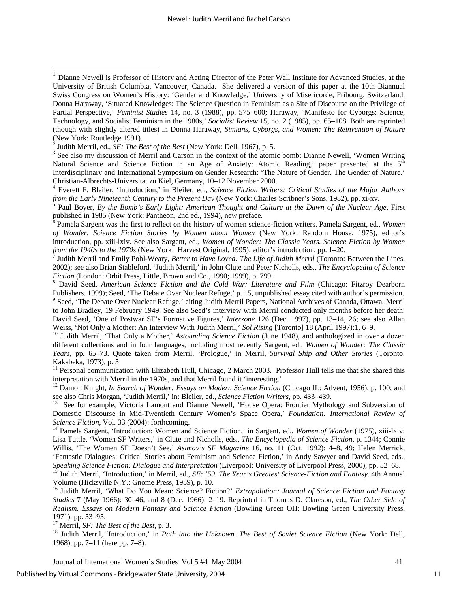$\overline{a}$ 

<sup>10</sup> Judith Merril, 'That Only a Mother,' Astounding Science Fiction (June 1948), and anthologized in over a dozen different collections and in four languages, including most recently Sargent, ed., *Women of Wonder: The Classic Years*, pp. 65–73. Quote taken from Merril, 'Prologue,' in Merril, *Survival Ship and Other Stories* (Toronto: Kakabeka, 1973), p. 5

<sup>11</sup> Personal communication with Elizabeth Hull, Chicago, 2 March 2003. Professor Hull tells me that she shared this interpretation with Merril in the 1970s, and that Merril found it 'interesting.'

<sup>12</sup> Damon Knight, *In Search of Wonder: Essays on Modern Science Fiction* (Chicago IL: Advent, 1956), p. 100; and see also Chris Morgan, 'Judith Merril,' in: Bleiler, ed., Science Fiction Writers, pp. 433–439.

<sup>13</sup> See for example, Victoria Lamont and Dianne Newell, 'House Opera: Frontier Mythology and Subversion of Domestic Discourse in Mid-Twentieth Century Women's Space Opera,' *Foundation: International Review of Science Fiction*, Vol. 33 (2004): forthcoming.<br><sup>14</sup> Pamela Sargent, 'Introduction: Women and Science Fiction,' in Sargent, ed., *Women of Wonder* (1975), xiii-lxiv;

Lisa Tuttle, 'Women SF Writers,' in Clute and Nicholls, eds., *The Encyclopedia of Science Fiction*, p. 1344; Connie Willis, 'The Women SF Doesn't See,' *Asimov's SF Magazine* 16, no. 11 (Oct. 1992): 4–8, 49; Helen Merrick, 'Fantastic Dialogues: Critical Stories about Feminism and Science Fiction,' in Andy Sawyer and David Seed, eds., Speaking Science Fiction: Dialogue and Interpretation (Liverpool: University of Liverpool Press, 2000), pp. 52–68.<br><sup>15</sup> Judith Merril, 'Introduction,' in Merril, ed., *SF: '59. The Year's Greatest Science-Fiction and Fanta* 

Volume (Hicksville N.Y.: Gnome Press, 1959), p. 10.

16 Judith Merril, 'What Do You Mean: Science? Fiction?' *Extrapolation: Journal of Science Fiction and Fantasy Studies* 7 (May 1966): 30–46, and 8 (Dec. 1966): 2–19. Reprinted in Thomas D. Clareson, ed., *The Other Side of Realism. Essays on Modern Fantasy and Science Fiction* (Bowling Green OH: Bowling Green University Press, 1971), pp. 53–95.<br><sup>17</sup> Merril, *SF: The Best of the Best*, p. 3.

<sup>18</sup> Judith Merril, 'Introduction,' in *Path into the Unknown. The Best of Soviet Science Fiction* (New York: Dell, 1968), pp. 7–11 (here pp. 7–8).

<sup>&</sup>lt;sup>1</sup> Dianne Newell is Professor of History and Acting Director of the Peter Wall Institute for Advanced Studies, at the University of British Columbia, Vancouver, Canada. She delivered a version of this paper at the 10th Biannual Swiss Congress on Women's History: 'Gender and Knowledge,' University of Misericorde, Fribourg, Switzerland. Donna Haraway, 'Situated Knowledges: The Science Question in Feminism as a Site of Discourse on the Privilege of Partial Perspective,' *Feminist Studies* 14, no. 3 (1988), pp. 575–600; Haraway, 'Manifesto for Cyborgs: Science, Technology, and Socialist Feminism in the 1980s,' *Socialist Review* 15, no. 2 (1985), pp. 65–108. Both are reprinted (though with slightly altered titles) in Donna Haraway, *Simians, Cyborgs, and Women: The Reinvention of Nature* (New York: Routledge 1991).

<sup>&</sup>lt;sup>2</sup> Judith Merril, ed., *SF: The Best of the Best* (New York: Dell, 1967), p. 5.  $^3$  See also my discussion of Merril and Carson in the context of the atomi

<sup>&</sup>lt;sup>3</sup> See also my discussion of Merril and Carson in the context of the atomic bomb: Dianne Newell, 'Women Writing Natural Science and Science Fiction in an Age of Anxiety: Atomic Reading,' paper presented at the 5<sup>th</sup> Interdisciplinary and International Symposium on Gender Research: 'The Nature of Gender. The Gender of Nature.' Christian-Albrechts-Universität zu Kiel, Germany, 10–12 November 2000. 4

Everett F. Bleiler, 'Introduction,' in Bleiler, ed., *Science Fiction Writers: Critical Studies of the Major Authors from the Early Nineteenth Century to the Present Day* (New York: Charles Scribner's Sons, 1982), pp. xi-xv.

Paul Boyer, *By the Bomb's Early Light: American Thought and Culture at the Dawn of the Nuclear Age*. First published in 1985 (New York: Pantheon, 2nd ed., 1994), new preface.

<sup>6</sup> Pamela Sargent was the first to reflect on the history of women science-fiction writers. Pamela Sargent, ed., *Women of Wonder. Science Fiction Stories by Women about Women* (New York: Random House, 1975), editor's introduction, pp. xiii-lxiv. See also Sargent, ed., *Women of Wonder: The Classic Years. Science Fiction by Women from the 1940s to the 1970s* (New York: Harvest Original, 1995), editor's introduction, pp. 1–20. 7

Judith Merril and Emily Pohl-Weary, *Better to Have Loved: The Life of Judith Merril* (Toronto: Between the Lines, 2002); see also Brian Stableford, 'Judith Merril,' in John Clute and Peter Nicholls, eds., *The Encyclopedia of Science Fiction* (London: Orbit Press, Little, Brown and Co., 1990; 1999), p. 799.

David Seed, *American Science Fiction and the Cold War: Literature and Film* (Chicago: Fitzroy Dearborn Publishers, 1999); Seed, 'The Debate Over Nuclear Refuge,' p. 15, unpublished essay cited with author's permission. <sup>9</sup> Seed, 'The Debate Over Nuclear Refuge,' citing Judith Merril Papers, National Archives of Canada, Ottawa, Merril to John Bradley, 19 February 1949. See also Seed's interview with Merril conducted only months before her death: David Seed, 'One of Postwar SF's Formative Figures,' *Interzone* 126 (Dec. 1997), pp. 13–14, 26; see also Allan Weiss, 'Not Only a Mother: An Interview With Judith Merril,' Sol Rising [Toronto] 18 (April 1997):1, 6–9.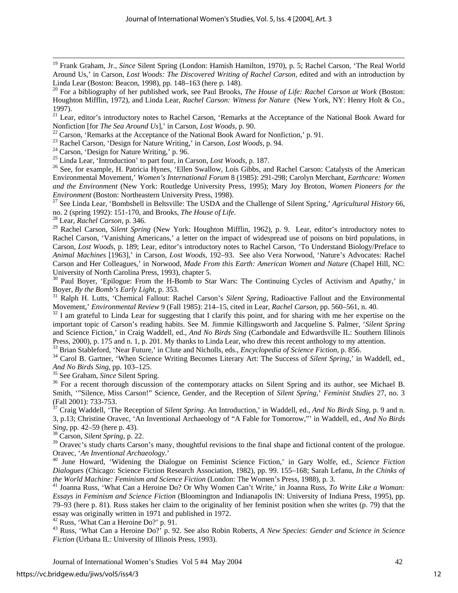Journal of International Women's Studies, Vol. 5, Iss. 4 [2004], Art. 3

<sup>19</sup> Frank Graham, Jr., *Since* Silent Spring (London: Hamish Hamilton, 1970), p. 5; Rachel Carson, 'The Real World Around Us,' in Carson, *Lost Woods: The Discovered Writing of Rachel Carson*, edited and with an introduction by Linda Lear (Boston: Beacon, 1998), pp. 148–163 (here p. 148).

<sup>20</sup> For a bibliography of her published work, see Paul Brooks, *The House of Life: Rachel Carson at Work* (Boston: Houghton Mifflin, 1972), and Linda Lear, *Rachel Carson: Witness for Nature* (New York, NY: Henry Holt & Co., 1997).

<sup>21</sup> Lear, editor's introductory notes to Rachel Carson, 'Remarks at the Acceptance of the National Book Award for Nonfiction [for *The Sea Around Us*],' in Carson, *Lost Woods*, p. 90.

<sup>22</sup> Carson, 'Remarks at the Acceptance of the National Book Award for Nonfiction,' p. 91.

<sup>23</sup> Rachel Carson, 'Design for Nature Writing,' in Carson, *Lost Woods*, p. 94.<br><sup>24</sup> Carson, 'Design for Nature Writing,' p. 96.<br><sup>25</sup> Linda Lear, 'Introduction' to part four, in Carson, *Lost Woods*, p. 187.

<sup>26</sup> See, for example, H. Patricia Hynes, 'Ellen Swallow, Lois Gibbs, and Rachel Carson: Catalysts of the American Environmental Movement,' *Women's International Forum* 8 (1985): 291-298; Carolyn Merchant, *Earthcare: Women and the Environment* (New York: Routledge University Press, 1995); Mary Joy Broton, *Women Pioneers for the Environment* (Boston: Northeastern University Press, 1998).<br><sup>27</sup> See Linda Lear, 'Bombshell in Beltsville: The USDA and the Challenge of Silent Spring,' *Agricultural History* 66,

no. 2 (spring 1992): 151-170, and Brooks, *The House of Life*. 28 Lear, *Rachel Carson*, p. 346.

 $\overline{a}$ 

<sup>29</sup> Rachel Carson, *Silent Spring* (New York: Houghton Mifflin, 1962), p. 9. Lear, editor's introductory notes to Rachel Carson, 'Vanishing Americans,' a letter on the impact of widespread use of poisons on bird populations, in Carson, *Lost Woods*, p. 189; Lear, editor's introductory notes to Rachel Carson, 'To Understand Biology/Preface to *Animal Machines* [1963],' in Carson, *Lost Woods*, 192–93. See also Vera Norwood, 'Nature's Advocates: Rachel Carson and Her Colleagues,' in Norwood, *Made From this Earth: American Women and Nature* (Chapel Hill, NC:

University of North Carolina Press, 1993), chapter 5.<br><sup>30</sup> Paul Boyer, 'Epilogue: From the H-Bomb to Star Wars: The Continuing Cycles of Activism and Apathy,' in Boyer, *By the Bomb's Early Light*, p. 353.

<sup>31</sup> Ralph H. Lutts, 'Chemical Fallout: Rachel Carson's *Silent Spring*, Radioactive Fallout and the Environmental Movement,' *Environmental Review* 9 (Fall 1985): 214–15, cited in Lear, *Rachel Carson*, pp. 560–561, n. 40

<sup>32</sup> I am grateful to Linda Lear for suggesting that I clarify this point, and for sharing with me her expertise on the important topic of Carson's reading habits. See M. Jimmie Killingsworth and Jacqueline S. Palmer, '*Silent Spring* and Science Fiction,' in Craig Waddell, ed., *And No Birds Sing* (Carbondale and Edwardsville IL: Southern Illinois

Press, 2000), p. 175 and n. 1, p. 201. My thanks to Linda Lear, who drew this recent anthology to my attention.<br><sup>33</sup> Brian Stableford, 'Near Future,' in Clute and Nicholls, eds., *Encyclopedia of Science Fiction*, p. 856.<br>

<sup>35</sup> See Graham, *Since* Silent Spring.<br><sup>36</sup> For a recent thorough discussion of the contemporary attacks on Silent Spring and its author, see Michael B. Smith, '"Silence, Miss Carson!" Science, Gender, and the Reception of *Silent Spring*,' *Feminist Studies* 27, no. 3 (Fall 2001): 733-753.

37 Craig Waddell, 'The Reception of *Silent Spring*. An Introduction,' in Waddell, ed., *And No Birds Sing*, p. 9 and n. 3, p.13; Christine Oravec, 'An Inventional Archaeology of "A Fable for Tomorrow,"' in Waddell, ed., *And No Birds* 

*Sing*, pp. 42–59 (here p. 43). 38 Carson, *Silent Spring*, p. 22.

 $39$  Oravec's study charts Carson's many, thoughtful revisions to the final shape and fictional content of the prologue.<br>Oravec, 'An Inventional Archaeology.'

<sup>40</sup> June Howard, 'Widening the Dialogue on Feminist Science Fiction,' in Gary Wolfe, ed., *Science Fiction Dialogues* (Chicago: Science Fiction Research Association, 1982), pp. 99. 155–168; Sarah Lefanu, *In the Chinks of the World Machine: Feminism and Science Fiction* (London: The Women's Press, 1988), p. 3. 41 Joanna Russ, 'What Can a Heroine Do? Or Why Women Can't Write,' in Joanna Russ, *To Write Like a Woman:* 

*Essays in Feminism and Science Fiction* (Bloomington and Indianapolis IN: University of Indiana Press, 1995), pp. 79–93 (here p. 81). Russ stakes her claim to the originality of her feminist position when she writes (p. 79) that the essay was originally written in 1971 and published in 1972.

<sup>42</sup> Russ, 'What Can a Heroine Do?' p. 91.

43 Russ, 'What Can a Heroine Do?' p. 92. See also Robin Roberts, *A New Species: Gender and Science in Science Fiction* (Urbana IL: University of Illinois Press, 1993).